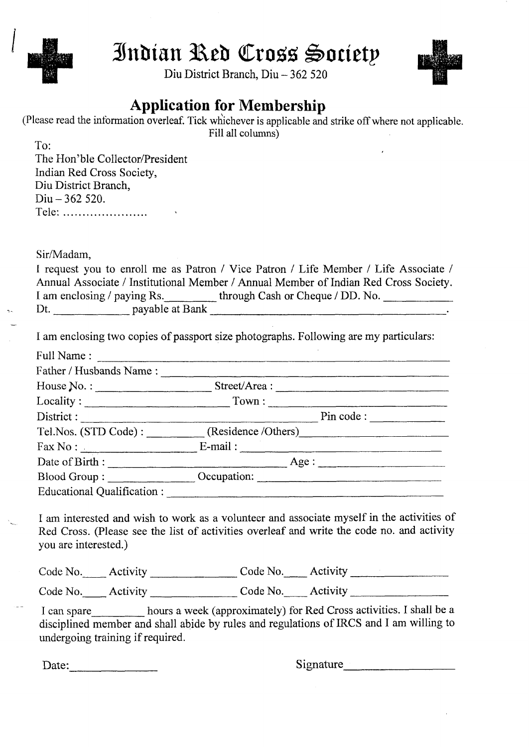

# Indian Red Cross Society

Diu District Branch, Diu - 362 520



## **Application for Membership**

| (Please read the information overleaf. Tick whichever is applicable and strike off where not applicable. |                   |  |
|----------------------------------------------------------------------------------------------------------|-------------------|--|
|                                                                                                          | Fill all columns) |  |

To:

The Hon'**ble Collector**/**President Indian Red Cross Society,** Diu District **Branch,** Diu - 362 520. Tele: ........................

Sir/Madam,

|                             | I request you to enroll me as Patron / Vice Patron / Life Member / Life Associate /  |
|-----------------------------|--------------------------------------------------------------------------------------|
|                             | Annual Associate / Institutional Member / Annual Member of Indian Red Cross Society. |
| I am enclosing / paying Rs. | through Cash or Cheque / DD. No.                                                     |
| payable at Bank<br>Dt.      |                                                                                      |

I am enclosing two copies of passport size photographs. Following are my particulars:

| Full Name:                        |                                                                                                                                                                                                                                                                                                                                                  |
|-----------------------------------|--------------------------------------------------------------------------------------------------------------------------------------------------------------------------------------------------------------------------------------------------------------------------------------------------------------------------------------------------|
| Father / Husbands Name:           |                                                                                                                                                                                                                                                                                                                                                  |
| House No. :                       | Street/Area:                                                                                                                                                                                                                                                                                                                                     |
|                                   | Locality: Town: Town:                                                                                                                                                                                                                                                                                                                            |
|                                   | Pin code :                                                                                                                                                                                                                                                                                                                                       |
|                                   | Tel.Nos. (STD Code): (Residence /Others)                                                                                                                                                                                                                                                                                                         |
|                                   | $\text{Fax No}:$ $\qquad \qquad$ $\qquad \qquad$ $\qquad$ $\qquad$ $\qquad$ $\qquad$ $\qquad$ $\qquad$ $\qquad$ $\qquad$ $\qquad$ $\qquad$ $\qquad$ $\qquad$ $\qquad$ $\qquad$ $\qquad$ $\qquad$ $\qquad$ $\qquad$ $\qquad$ $\qquad$ $\qquad$ $\qquad$ $\qquad$ $\qquad$ $\qquad$ $\qquad$ $\qquad$ $\qquad$ $\qquad$ $\qquad$ $\qquad$ $\qquad$ |
| Date of Birth :                   | Age:                                                                                                                                                                                                                                                                                                                                             |
|                                   | Blood Group: Cocupation: Contact Cocupation:                                                                                                                                                                                                                                                                                                     |
| Educational Qualification : _____ |                                                                                                                                                                                                                                                                                                                                                  |

I am interested and wish to work as a volunteer and associate myself in the activities of Red Cross. (Please see the list of activities overleaf and write the code no. and activity you are interested.)

|                            | Code No. _____ Activity ______________ | Code No. Activity ______ |  |
|----------------------------|----------------------------------------|--------------------------|--|
| Code No. $\qquad$ Activity |                                        | Code No. Activity        |  |

**I can spare hours a week** (**approximately**) for Red Cross **activities**. **I shall be a disciplined member and shall abide by rules and regulations** of IRCS and I **am willing to undergoing training if required.**

Date: Signature Signature Signature Signature Signature Signature Signature Signature Signature Signature Signature Signature Signature Signature Signature Signature Signature Signature Signature Signature Signature Signat